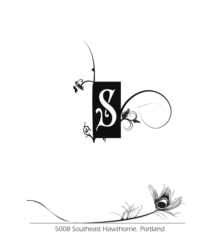



*5008 Southeast Hawthorne. Portland*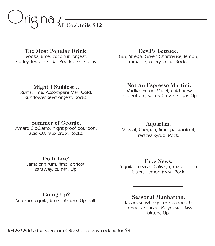

**The Most Popular Drink.**

*Vodka, lime, coconut, orgeat, Shirley Temple Soda, Pop Rocks. Slushy.*

#### **Might I Suggest...**

*Rums, lime, Accompani Mari Gold, sunflower seed orgeat. Rocks.* 

#### **Devil's Lettuce.**

*Gin, Strega, Green Chartreuse, lemon, romaine, celery, mint. Rocks.*

#### **Not An Espresso Martini.**

*Vodka, Fernet-Vallet, cold brew concentrate, salted brown sugar. Up.*

#### **Summer of George.**

*Amaro CioCiarro, hight proof bourbon, acid OJ, faux croix. Rocks.*

*Jamaican rum, lime, apricot, caraway, cumin. Up.*

#### **Do It Live!**

#### **Going Up?**

*Serrano tequila, lime, cilantro. Up, salt.*

**Aquarian.** *Mezcal, Campari, lime, passionfruit, red tea syrup. Rock.*

**Fake News.** *Tequila, mezcal, Calisaya, maraschino, bitters, lemon twist. Rock.*

#### **Seasonal Manhattan.** *Japanese whisky, rosé vermouth, creme de cacao, Polynesian kiss*

*bitters, Up.*

#### *RELAX! Add a full spectrum CBD shot to any cocktail for \$3*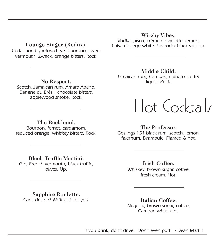#### **Lounge Singer (Redux).**

*Cedar and fig infused rye, bourbon, sweet vermouth, Zwack, orange bitters. Rock.*

#### **Witchy Vibes.**

*Vodka, pisco, crème de violette, lemon, balsamic, egg white. Lavender-black salt, up.*

**Middle Child.**

*Jamaican rum, Campari, chinato, coffee liquor. Rock.* 

#### **No Respect.** *Scotch, Jamaican rum, Amaro Abano,*

*Banane du Brésil, chocolate bitters, applewood smoke. Rock.*

#### **The Backhand.**

*Bourbon, fernet, cardamom, reduced orange, whiskey bitters. Rock.*

#### **Black Truffle Martini.** *Gin, French vermouth, black truffle, olives. Up.*

#### **Sapphire Roulette.** *Can't decide? We'll pick for you!*

#### **The Professor.**

Hot Cocktails

*Goslings 151 black rum, scotch, lemon, falernum, Drambuie. Flamed & hot.*

**Irish Coffee.**

*Whiskey, brown sugar, coffee, fresh cream. Hot.* 

**Italian Coffee.** *Negroni, brown sugar, coffee, Campari whip. Hot.*

*If you drink, don't drive. Don't even putt. ~Dean Martin*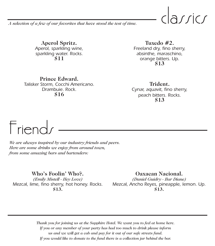CICI*I*ICI<br><sub>0</sub> #2.

*A selection of a few of our favorites that have stood the test of time.*

**Aperol Spritz.** *Aperol, sparkling wine, sparkling water. Rocks.* **\$11**

**Tuxedo #2.** *Freeland dry, fino sherry, absinthe, maraschino, orange bitters. Up.* **\$13**

**Prince Edward.** *Talisker Storm, Cocchi Americano. Drambuie. Rock.* **\$16**

**Trident.** *Cynar, aquavit, fino sherry, peach bitters. Rocks.* **\$13**

I I I I I I I I I I VI<br>We are always inspired by<br>Here are some drinks we *We are always inspired by our industry friends and peers. Here are some drinks we enjoy from around town, from some amazing bars and bartenders:* 

**Who's Foolin' Who?.**

*(Emily Mistell - Hey Love) Mezcal, lime, fino sherry, hot honey. Rocks.*  **\$13.**

**Oaxacan Nacional.**

*(Daniel Guidry - Bar Diane) Mezcal, Ancho Reyes, pineapple, lemon. Up.* **\$13.**

*Thank you for joining us at the Sapphire Hotel. We want you to feel at home here. If you or any member of your party has had too much to drink please inform us and we will get a cab and pay for it out of our safe streets fund. If you would like to donate to the fund there is a collection jar behind the bar.*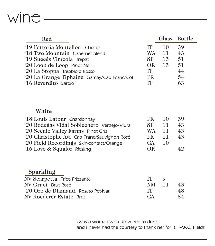## wine -

| Red                                        |           |     | Glass Bottle |
|--------------------------------------------|-----------|-----|--------------|
| '19 Fattoria Montellori Chianti            | <b>IT</b> | 10  | 39           |
| '18 Two Mountain Cabernet blend            | WA        | -11 | 43           |
| '19 Succés Vinícola Trepat                 | SP.       | 13  | 51           |
| '20 Loop de Loop Pinot Noir                | OR.       | 13  | 51           |
| '20 La Stoppa Trebbiolo Rosso              | IT        |     | 44           |
| '20 La Grange Tiphaine Gamay/Cab Franc/Côt | FR.       |     | 54           |
| '16 Reverdito Barolo                       | тт        |     | 63           |

#### **White**

| '18 Louis Latour Chardonnay                 | FR -           | 10  | 39 <sup>.</sup> |
|---------------------------------------------|----------------|-----|-----------------|
| '20 Bodegas Vidal Soblechero Verdejo/Viura  | S <sub>P</sub> | 11  | 43              |
| '20 Scenic Valley Farms Pinot Gris          | WA.            | -11 | 43              |
| '20 Christophe Avi Cab Franc/Sauvignon Rosé | FR.            | 11  | 43              |
| '20 Field Recordings Skin-contact/Orange    | CA.            | 10  |                 |
| '16 Love & Squalor Riesling                 | OR             |     |                 |

### **Sparkling**

| NV Scarpetta Frico Frizzante       | IT.             | $\mathbf Q$ |    |
|------------------------------------|-----------------|-------------|----|
| NV Gruet Brut Rosé                 | NM 11           |             | 43 |
| '20 Oro de Diamanti Rosato Pet-Nat | TT.             |             | 48 |
| NV Roederer Estate Brut            | CA <sup>1</sup> |             | 54 |

*Twas a woman who drove me to drink, and I never had the courtesy to thank her for it. ~W.C. Fields*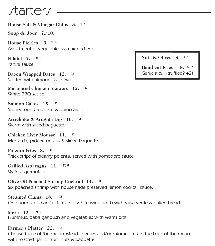# $J$  Corrected to  $S$  and  $\frac{1}{2}$   $\frac{1}{2}$

**House Salt & Vinegar Chips 3. ¤ ª**

**Soup du Jour 7./10.**

**House Pickles 9. ¤ ª** *Assortment of vegetables & a pickled egg.*

**Falafel 7. ¤ ª** *Tahini sauce.*

**Bacon Wrapped Dates 12. ¤**  *Stuffed with almonds & chevre.*

**Marinated Chicken Skewers 12. ¤** *White BBQ sauce.*

**Salmon Cakes 15. ¤**  *Stoneground mustard & onion aioli.* 

**Artichoke & Arugula Dip 10. ¤** *Warm with sliced baguette.* 

**Chicken Liver Mousse 11. ¤** *Mostarda, pickled onions & sliced baguette.*

**Polenta Fries 8. ¤** *Thick strips of creamy polenta, served with pomodoro sauce.*

**Grilled Asparagus 11. ¤ ª** *Walnut gremolata.*

**Olive Oil Poached Shrimp Cocktail 14. ¤** *Six poached shrimp with housemade preserved lemon cocktail sauce.*

**Steamed Clams 18. ¤**  *One pound of manila clams in a white wine broth with salsa verde & grilled bread.*

**Meze 12. ¤ ª** *Hummus, baba ganoush and vegetables with warm pita.* 

#### **Farmer's Platter 22. ¤**

*Choose three of the six farmstead cheeses and/or salumi listed in the back of the menu; with roasted garlic, fruit, nuts & baguette.*

**Nuts & Olives 8. ¤ ª**

**Hand-cut Fries 8. ¤ ª** *Garlic aioli. (truffled? +2)*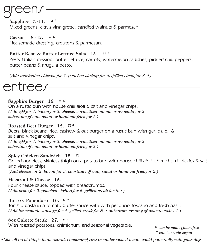**Sapphire 7./11. ¤ ª** *Mixed greens, citrus vinaigrette, candied walnuts & parmesan.*  $\sum_{\text{Sapphire}}$  7./11<br>Mixed greens, ci

**Caesar 8./12. • ¤**  *Housemade dressing, croutons & parmesan.* 

**Butter Bean & Butter Lettuce Salad 13. ¤ ª**

*Zesty I-talian dessing, butter lettuce, carrots, watermelon radishes, pickled chili peppers, butter beans & arugula pesto.*

*(Add marinated chicken for 7. poached shrimp for 6. grilled steak for 8.* **•***)*

Sapphire Burger<br>
On a rustic bun wi

#### **Sapphire Burger 16. • ¤**

*On a rustic bun with house chili aioli & salt and vinegar chips. (Add egg for 1. bacon for 3. cheese, carmelized onions or avocado for 2. substitute gf bun, salad or hand-cut fries for 2.)*

#### **Roasted Beet Burger 15. ¤ ª**

*Beets, black beans, rice, cashew & oat burger on a rustic bun with garlic aioli & salt and vinegar chips. (Add egg for 1. bacon for 3. cheese, carmelized onions or avocado for 2. substitute gf bun, salad or hand-cut fries for 2.)*

#### **Spicy Chicken Sandwich 15. ¤**

*Grilled boneless, skinless thigh on a potato bun with house chili aioli, chimichurri, pickles & salt and vinegar chips.*  **(***Add cheese for 2. bacon for 3. substitute gf bun, salad or hand-cut fries for 2.)*

#### **Macaroni & Cheese 15.**

*Four cheese sauce, topped with breadcrumbs. (Add pesto for 2. poached shrimp for 6. grilled steak for 8. •)* 

#### **Burro e Pomodoro 16. ¤ ª**

*Torchio pasta in a tomato butter sauce with with pecorino Toscano and fresh basil. (Add housemade sausage for 4. grilled steak for 8.* **•** *substitute creamy gf polenta cakes 1.)*

#### **8oz Culotte Steak 27. • ¤**

*With roasted potatoes, chimichurri and seasonal vegetable.*

*¤ can be made gluten free ª can be made vegan* 

*•Like all great things in the world, consuming raw or undercooked meats could potentially ruin your day.*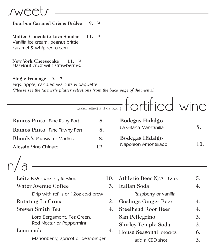

Bourbon Carame **Bourbon Caramel Crème Brûl**é**e 9. ¤ Molten Chocolate Lava Sundae 11. ¤** *Vanilla ice cream, peanut brittle, caramel & whipped cream.* **New York Cheesecake 11. ¤** *Hazelnut crust with strawberries.* **Single Fromage 9. ¤** *Figs, apple, candied walnuts & baguette. (Please see the farmer's platter selections from the back page of the menu.)* **Ramos Pinto** *Fine Ruby Port* **8. Ramos Pinto** *Fine Tawny Port* **8. Blandy's** *Rainwater Madiera* **8. Alessio** *Vino Chinato* **12. Bodegas Hidalgo**  *La Gitana Manzanilla* **8. Bodegas Hidalgo**  *Napoleon Amontillado* **10.** *(prices reflect a 3 oz pour)* fortified wine n/u<br>Leit*i*<br>Wate Leitz *N/A sparkling Riesling* 10. Water Avenue Coffee 3. *Drip with refills or 12oz cold brew*  Rotating La Croix 2. Steven Smith Tea 4. *Lord Bergamont, Fez Green, Red Nectar or Peppermint* Lemonade 4. Athletic Beer  $N/A$  12 oz. 5. Italian Soda 4. *Raspberry or vanilla* Goslings Ginger Beer 4. Steelhead Root Beer 4. San Pellegrino 3. Shirley Temple Soda 3. House Seasonal *mocktail* 6.

add a CBD shot **3.** 

*Marionberry, apricot or pear-ginger*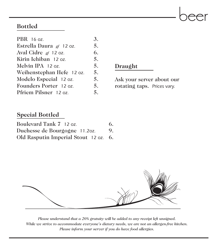

### **Bottled**

| PBR 16 oz.                | 3. |
|---------------------------|----|
| Estrella Daura gf 12 oz.  | 5. |
| Aval Cidre $g_f$ 12 oz.   | 6. |
| Kirin Ichiban 12 oz.      | 5. |
| Melvin IPA 12 oz.         | 5. |
| Weihenstephan Hefe 12 oz. | 5. |
| Modelo Especial 12 oz.    | 5. |
| Founders Porter 12 oz.    | 5. |
| Pfriem Pilsner 12 oz.     | 5. |

**Draught**

Ask your server about our rotating taps. *Prices vary.*

### **Special Bottled**

| Boulevard Tank 7 12 oz.               | 6. |
|---------------------------------------|----|
| Duchesse de Bourgogne 11.20z.         | 9. |
| Old Rasputin Imperial Stout 12 oz. 6. |    |



*Please understand that a 20% gratuity will be added to any receipt left unsigned. While we strive to accommodate everyone's dietary needs, we are not an allergen-free kitchen. Please inform your server if you do have food allergies.*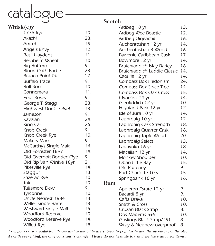## catalogue

| Whisk(e)y                                    |            |     | Ardbeg 10 yr                          | 13.       |
|----------------------------------------------|------------|-----|---------------------------------------|-----------|
| 1776 Rye                                     | 10.        |     | Ardbeg Wee Beastie                    | 12.       |
| Akashi                                       | 23.        |     | Ardbeg Uigeadail                      | 16.       |
| Amrut                                        | 15.        |     | Auchentoshan 12 yr                    | 14.       |
| Angel's Envy                                 | 12.        |     | Auchentoshan 3 Wood                   | 16.       |
| Basil Hayden's                               | 11.        |     | Balvenie Caribbean Cask               | 17.       |
| Bernheim Wheat                               | 10.        |     | Bowmore 12 yr                         | 14.       |
| <b>Big Bottom</b>                            | 9.         |     | Bruichladdich Islay Barley            | 16.       |
| Blood Oath Pact 7                            | 23.        |     | <b>Bruichladdich Laddie Classic</b>   | 14.       |
| <b>Branch Point Trit</b>                     | 12.        |     | Caol lla 12 yr                        | 14.       |
| <b>Buffalo Trace</b>                         | 9.         |     | Compass Box Hedonism                  | 24.       |
| <b>Bull Run</b>                              | 10.        |     | Compass Box Spice Tree                | 14.       |
| Connemara                                    | 11.        |     | Compass Box Oak Cross                 | 15.       |
| <b>Four Roses</b>                            | 9.         |     | Clynelish 14 yr                       | 14.       |
| George T. Stagg                              | 23.        |     | Glenfiddich 12 yr                     | 10.       |
| Highwest Double Rye!                         | 13.        |     | Highland Park 12 yr                   | 12.       |
| Jameson                                      | 9.         |     | Isle of Jura 10 yr                    | 14.       |
| Kavalan                                      | 24.        |     | Laphroaig 10 yr                       | 12.       |
| King Car                                     | 26.        |     | Laphroaig Cask Strength               | 18.       |
| Knob Creek                                   | 9.         |     | Laphroaig Quarter Cask                | 16.       |
| Knob Creek Rye                               | 10.        |     | Laphroaig Triple Wood                 | 20.       |
| <b>Makers Mark</b>                           | 9.         |     | Laphroaig Select                      | 13.       |
| McCarthy's Single Malt                       | 14.        |     | Lagavulin 16 yr                       | 18.       |
| Old Forrester 1897                           | 14.        |     | Macallan 12 yr                        | 14.       |
| Old Overholt Bonded/Rye                      | 9.         |     | Monkey Shoulder                       | 10.       |
| Old Rip Van Winkle 10yr                      | 21.        |     | Oban Little Bay                       | 15.       |
| Pikesville Rye                               | 14.        |     | Old Pulteney                          | 9.        |
| Stagg Jr                                     | 13.        |     | Port Charlotte 10 yr                  | 15.       |
| Sazerac Rye                                  | 10.        |     | Springbank 10 yr                      | 16.       |
| Toki                                         | 10.        | Rum |                                       |           |
| <b>Tullamore Dew</b>                         | 9.         |     | Appleton Estate 12 yr                 | 9.        |
| Tyrconnell                                   | 10.        |     | Bacardi 8 yr                          | 9.        |
| Uncle Nearest 1884                           | 13.<br>13. |     | Caña Brava                            | 10.       |
| Weller Single Barrel<br>Westward Single Malt | 15.        |     | Smith & Cross                         | 10.       |
| <b>Woodford Reserve</b>                      | 10.        |     | Cruzan Black Strap<br>Dos Maderas 5+5 | 8.<br>10. |
| Woodford Reserve Rye                         | 14.        |     | Goslings Black Strap/151              | 8.        |
| Willett Rye                                  | 18.        |     | Wray & Nephew overproof               | 8.        |
|                                              |            |     |                                       |           |

*1 oz. pours also available. Prices and availability are subject to popularity and the inventory of the olcc. As with everything, the only constant is change. Please do not hesitate to ask if we have any new items.*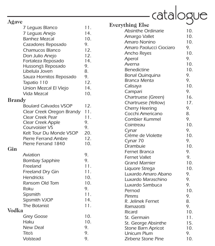| H | ٦<br><b>Service Service</b><br>., |
|---|-----------------------------------|
|---|-----------------------------------|

| Agave         |                              |     | E |
|---------------|------------------------------|-----|---|
|               | 7 Leguas Blanco              | 11. |   |
|               | 7 Leguas Anejo               | 14. |   |
|               | <b>Banhez Mezcal</b>         | 10. |   |
|               | Cazadores Reposado           | 9.  |   |
|               | Chamucos Blanco              | 12. |   |
|               | Don Julio Anejo              | 12. |   |
|               | Fortaleza Reposado           | 14. |   |
|               | Hussong's Reposado           | 9.  |   |
|               | Libelula Joven               | 8.  |   |
|               | Sauza Hornitos Reposado      | 9.  |   |
|               | Tapatio 110                  | 12. |   |
|               | Union Mezcal El Viejo        | 14. |   |
|               | <b>Vida Mezcal</b>           | 10. |   |
| <b>Brandy</b> |                              |     |   |
|               | <b>Boulard Calvados VSOP</b> | 12. |   |
|               | Clear Creek Oregon Brandy    | 11. |   |
|               | Clear Creek Pear             | 11. |   |
|               | Clear Creek Apple            | 9.  |   |
|               | Courvoisier VS               | 9.  |   |
|               | Kelt Tour Du Monde VSOP      | 20. |   |
|               | Pierre Ferrand Ambre         | 12. |   |
|               | Pierre Ferrand 1840          | 10. |   |
| Gin           |                              |     |   |
|               | Aviation                     | 9.  |   |
|               | <b>Bombay Sapphire</b>       | 9.  |   |
|               | Freeland                     | 11. |   |
|               | Freeland Dry Gin             | 11. |   |
|               | <b>Hendricks</b>             | 10. |   |
|               | Ransom Old Tom               | 10. |   |
|               | Roku                         | 9.  |   |
|               | Sipsmith                     | 11. |   |
|               | Sipsmith VJOP                | 14. |   |
|               | The Botanist                 | 11. |   |
| <b>Vodka</b>  |                              |     |   |
|               | <b>Grey Goose</b>            | 10. |   |
|               | Haku                         | 10. |   |
|               | <b>New Deal</b>              | 9.  |   |
|               | Tito's                       | 9.  |   |
|               | Volstead                     | 9.  |   |

|                                                 | catalogue  |
|-------------------------------------------------|------------|
|                                                 |            |
| Everything Else<br><b>Absinthe Ordinarie</b>    | 10.        |
|                                                 | 10.        |
| Amargo Vallet<br>Amaro Nonino                   | 10.        |
| Amaro Paolucci Ciociaro                         | 9.         |
|                                                 | 10.        |
| Ancho Reyes                                     | 9.         |
| Aperol<br>Averna                                | 10.        |
| <b>Benedictine</b>                              | 10.        |
| <b>Bonal Quinquina</b>                          | 9.         |
| Branca Menta                                    | 9.         |
| Calisaya                                        | 10.        |
| Campari                                         | 9.         |
| Chartruese (Green)                              | 16.        |
| Chartruese (Yellow)                             | 17.        |
| <b>Cherry Heering</b>                           | 9.         |
| Cocchi Americano                                | 8.         |
| Combier Kummel                                  | 9.         |
| Cointreau                                       | 10.        |
| Cynar                                           | 9.         |
| Crème de Violette                               | 10.        |
| Cynar 70                                        | 9.         |
| Drambuie                                        | 10.        |
| Fernet Branca                                   | 9.         |
| <b>Fernet Vallet</b>                            | 9.         |
| <b>Grand Marnier</b>                            | 10.        |
| Liquore Strega                                  | 10.        |
| Luxardo Amaro Abano                             | 9.         |
| Luxardo Maraschino                              | 9.         |
| Luxardo Sambuca                                 | 9.         |
| Pernod                                          | 10.        |
| Pimms                                           | 9.         |
| R. Jelinek Fernet                               | 8.         |
| Ramazotti                                       | 9.         |
| Ricard                                          | 10.        |
| St. Germain                                     | 11.        |
| St. George Absinthe                             | 15.<br>10. |
| <b>Stone Barn Apricot</b><br><b>Unicum Plum</b> | 9.         |
| Zirbenz Stone Pine                              | 10.        |
|                                                 |            |